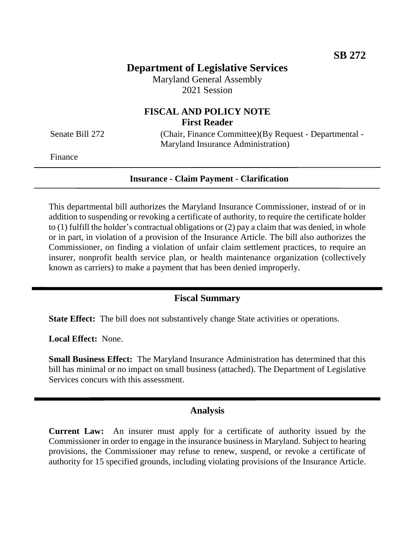## **Department of Legislative Services**

Maryland General Assembly 2021 Session

## **FISCAL AND POLICY NOTE First Reader**

Senate Bill 272 (Chair, Finance Committee)(By Request - Departmental -Maryland Insurance Administration)

Finance

## **Insurance - Claim Payment - Clarification**

This departmental bill authorizes the Maryland Insurance Commissioner, instead of or in addition to suspending or revoking a certificate of authority, to require the certificate holder to (1) fulfill the holder's contractual obligations or (2) pay a claim that was denied, in whole or in part, in violation of a provision of the Insurance Article. The bill also authorizes the Commissioner, on finding a violation of unfair claim settlement practices, to require an insurer, nonprofit health service plan, or health maintenance organization (collectively known as carriers) to make a payment that has been denied improperly.

## **Fiscal Summary**

**State Effect:** The bill does not substantively change State activities or operations.

**Local Effect:** None.

**Small Business Effect:** The Maryland Insurance Administration has determined that this bill has minimal or no impact on small business (attached). The Department of Legislative Services concurs with this assessment.

### **Analysis**

**Current Law:** An insurer must apply for a certificate of authority issued by the Commissioner in order to engage in the insurance business in Maryland. Subject to hearing provisions, the Commissioner may refuse to renew, suspend, or revoke a certificate of authority for 15 specified grounds, including violating provisions of the Insurance Article.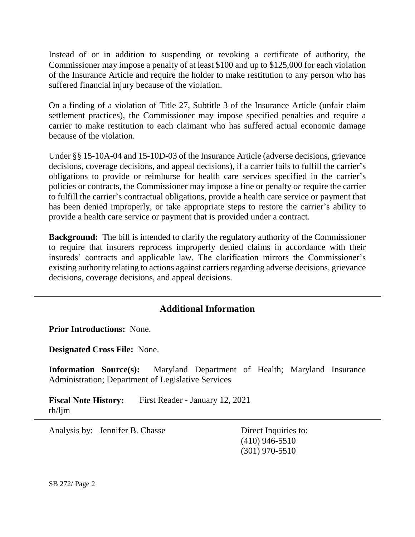Instead of or in addition to suspending or revoking a certificate of authority, the Commissioner may impose a penalty of at least \$100 and up to \$125,000 for each violation of the Insurance Article and require the holder to make restitution to any person who has suffered financial injury because of the violation.

On a finding of a violation of Title 27, Subtitle 3 of the Insurance Article (unfair claim settlement practices), the Commissioner may impose specified penalties and require a carrier to make restitution to each claimant who has suffered actual economic damage because of the violation.

Under §§ 15-10A-04 and 15-10D-03 of the Insurance Article (adverse decisions, grievance decisions, coverage decisions, and appeal decisions), if a carrier fails to fulfill the carrier's obligations to provide or reimburse for health care services specified in the carrier's policies or contracts, the Commissioner may impose a fine or penalty *or* require the carrier to fulfill the carrier's contractual obligations, provide a health care service or payment that has been denied improperly, or take appropriate steps to restore the carrier's ability to provide a health care service or payment that is provided under a contract.

**Background:** The bill is intended to clarify the regulatory authority of the Commissioner to require that insurers reprocess improperly denied claims in accordance with their insureds' contracts and applicable law. The clarification mirrors the Commissioner's existing authority relating to actions against carriers regarding adverse decisions, grievance decisions, coverage decisions, and appeal decisions.

# **Additional Information**

**Prior Introductions:** None.

**Designated Cross File:** None.

**Information Source(s):** Maryland Department of Health; Maryland Insurance Administration; Department of Legislative Services

**Fiscal Note History:** First Reader - January 12, 2021 rh/ljm

Analysis by: Jennifer B. Chasse Direct Inquiries to:

(410) 946-5510 (301) 970-5510